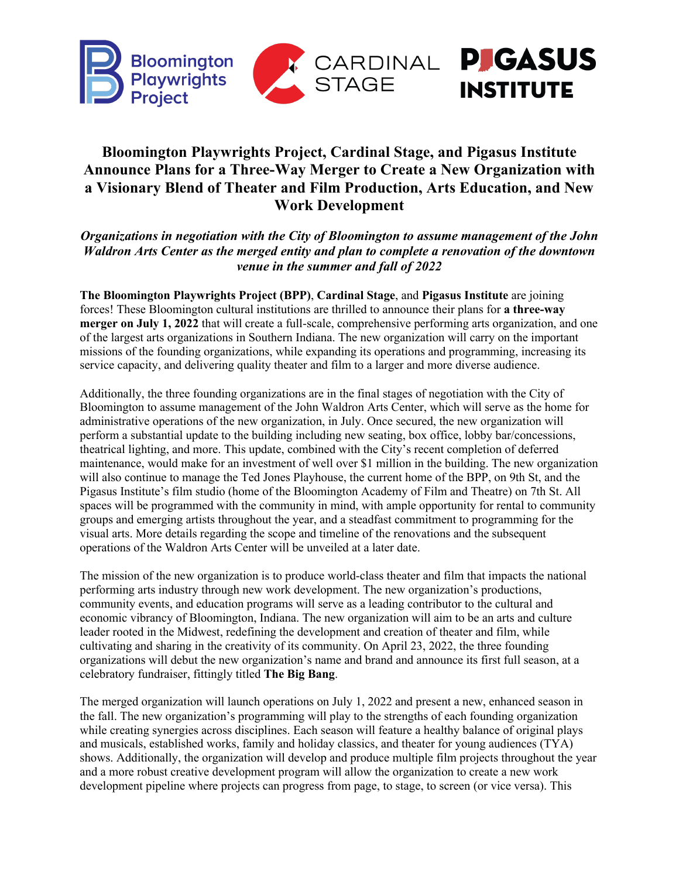

# **Bloomington Playwrights Project, Cardinal Stage, and Pigasus Institute Announce Plans for a Three-Way Merger to Create a New Organization with a Visionary Blend of Theater and Film Production, Arts Education, and New Work Development**

*Organizations in negotiation with the City of Bloomington to assume management of the John Waldron Arts Center as the merged entity and plan to complete a renovation of the downtown venue in the summer and fall of 2022*

**The Bloomington Playwrights Project (BPP)**, **Cardinal Stage**, and **Pigasus Institute** are joining forces! These Bloomington cultural institutions are thrilled to announce their plans for **a three-way merger on July 1, 2022** that will create a full-scale, comprehensive performing arts organization, and one of the largest arts organizations in Southern Indiana. The new organization will carry on the important missions of the founding organizations, while expanding its operations and programming, increasing its service capacity, and delivering quality theater and film to a larger and more diverse audience.

Additionally, the three founding organizations are in the final stages of negotiation with the City of Bloomington to assume management of the John Waldron Arts Center, which will serve as the home for administrative operations of the new organization, in July. Once secured, the new organization will perform a substantial update to the building including new seating, box office, lobby bar/concessions, theatrical lighting, and more. This update, combined with the City's recent completion of deferred maintenance, would make for an investment of well over \$1 million in the building. The new organization will also continue to manage the Ted Jones Playhouse, the current home of the BPP, on 9th St, and the Pigasus Institute's film studio (home of the Bloomington Academy of Film and Theatre) on 7th St. All spaces will be programmed with the community in mind, with ample opportunity for rental to community groups and emerging artists throughout the year, and a steadfast commitment to programming for the visual arts. More details regarding the scope and timeline of the renovations and the subsequent operations of the Waldron Arts Center will be unveiled at a later date.

The mission of the new organization is to produce world-class theater and film that impacts the national performing arts industry through new work development. The new organization's productions, community events, and education programs will serve as a leading contributor to the cultural and economic vibrancy of Bloomington, Indiana. The new organization will aim to be an arts and culture leader rooted in the Midwest, redefining the development and creation of theater and film, while cultivating and sharing in the creativity of its community. On April 23, 2022, the three founding organizations will debut the new organization's name and brand and announce its first full season, at a celebratory fundraiser, fittingly titled **The Big Bang**.

The merged organization will launch operations on July 1, 2022 and present a new, enhanced season in the fall. The new organization's programming will play to the strengths of each founding organization while creating synergies across disciplines. Each season will feature a healthy balance of original plays and musicals, established works, family and holiday classics, and theater for young audiences (TYA) shows. Additionally, the organization will develop and produce multiple film projects throughout the year and a more robust creative development program will allow the organization to create a new work development pipeline where projects can progress from page, to stage, to screen (or vice versa). This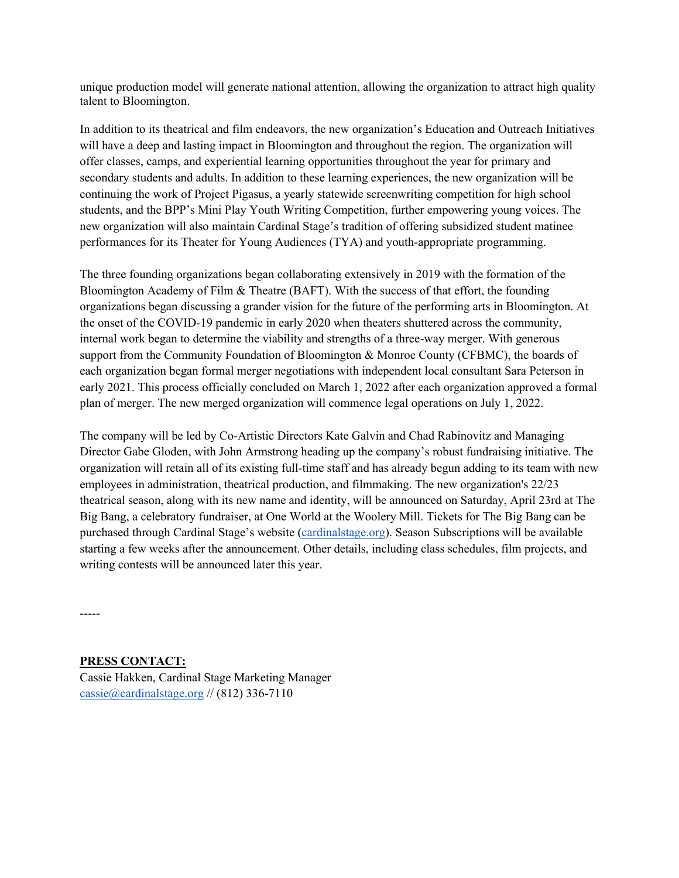unique production model will generate national attention, allowing the organization to attract high quality talent to Bloomington.

In addition to its theatrical and film endeavors, the new organization's Education and Outreach Initiatives will have a deep and lasting impact in Bloomington and throughout the region. The organization will offer classes, camps, and experiential learning opportunities throughout the year for primary and secondary students and adults. In addition to these learning experiences, the new organization will be continuing the work of Project Pigasus, a yearly statewide screenwriting competition for high school students, and the BPP's Mini Play Youth Writing Competition, further empowering young voices. The new organization will also maintain Cardinal Stage's tradition of offering subsidized student matinee performances for its Theater for Young Audiences (TYA) and youth-appropriate programming.

The three founding organizations began collaborating extensively in 2019 with the formation of the Bloomington Academy of Film & Theatre (BAFT). With the success of that effort, the founding organizations began discussing a grander vision for the future of the performing arts in Bloomington. At the onset of the COVID-19 pandemic in early 2020 when theaters shuttered across the community, internal work began to determine the viability and strengths of a three-way merger. With generous support from the Community Foundation of Bloomington & Monroe County (CFBMC), the boards of each organization began formal merger negotiations with independent local consultant Sara Peterson in early 2021. This process officially concluded on March 1, 2022 after each organization approved a formal plan of merger. The new merged organization will commence legal operations on July 1, 2022.

The company will be led by Co-Artistic Directors Kate Galvin and Chad Rabinovitz and Managing Director Gabe Gloden, with John Armstrong heading up the company's robust fundraising initiative. The organization will retain all of its existing full-time staff and has already begun adding to its team with new employees in administration, theatrical production, and filmmaking. The new organization's 22/23 theatrical season, along with its new name and identity, will be announced on Saturday, April 23rd at The Big Bang, a celebratory fundraiser, at One World at the Woolery Mill. Tickets for The Big Bang can be purchased through Cardinal Stage's website (cardinalstage.org). Season Subscriptions will be available starting a few weeks after the announcement. Other details, including class schedules, film projects, and writing contests will be announced later this year.

-----

# **PRESS CONTACT:**

Cassie Hakken, Cardinal Stage Marketing Manager cassie@cardinalstage.org // (812) 336-7110